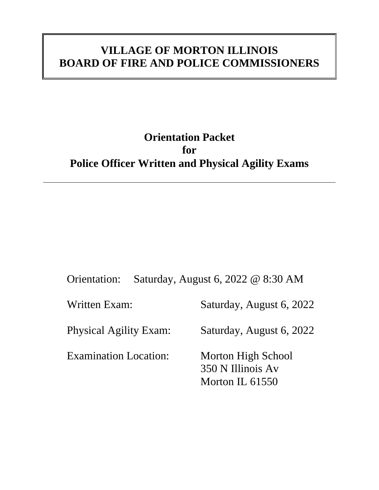## **VILLAGE OF MORTON ILLINOIS BOARD OF FIRE AND POLICE COMMISSIONERS**

## **Orientation Packet for Police Officer Written and Physical Agility Exams**

Orientation: Saturday, August 6, 2022 @ 8:30 AM

| Written Exam:                 | Saturday, August 6, 2022                                   |
|-------------------------------|------------------------------------------------------------|
| <b>Physical Agility Exam:</b> | Saturday, August 6, 2022                                   |
| <b>Examination Location:</b>  | Morton High School<br>350 N Illinois Av<br>Morton IL 61550 |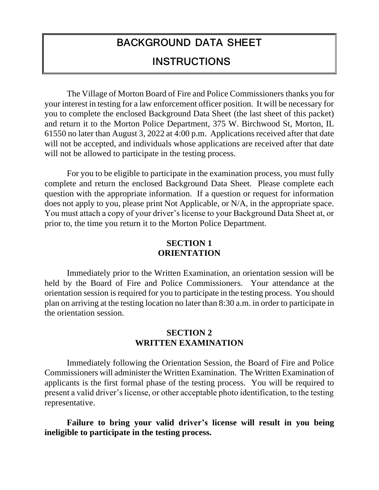# **BACKGROUND DATA SHEET INSTRUCTIONS**

The Village of Morton Board of Fire and Police Commissioners thanks you for your interest in testing for a law enforcement officer position. It will be necessary for you to complete the enclosed Background Data Sheet (the last sheet of this packet) and return it to the Morton Police Department, 375 W. Birchwood St, Morton, IL 61550 no later than August 3, 2022 at 4:00 p.m. Applications received after that date will not be accepted, and individuals whose applications are received after that date will not be allowed to participate in the testing process.

For you to be eligible to participate in the examination process, you must fully complete and return the enclosed Background Data Sheet. Please complete each question with the appropriate information. If a question or request for information does not apply to you, please print Not Applicable, or N/A, in the appropriate space. You must attach a copy of your driver's license to your Background Data Sheet at, or prior to, the time you return it to the Morton Police Department.

## **SECTION 1 ORIENTATION**

Immediately prior to the Written Examination, an orientation session will be held by the Board of Fire and Police Commissioners. Your attendance at the orientation session is required for you to participate in the testing process. You should plan on arriving at the testing location no later than 8:30 a.m. in order to participate in the orientation session.

## **SECTION 2 WRITTEN EXAMINATION**

Immediately following the Orientation Session, the Board of Fire and Police Commissioners will administer the Written Examination. The Written Examination of applicants is the first formal phase of the testing process. You will be required to present a valid driver's license, or other acceptable photo identification, to the testing representative.

**Failure to bring your valid driver's license will result in you being ineligible to participate in the testing process.**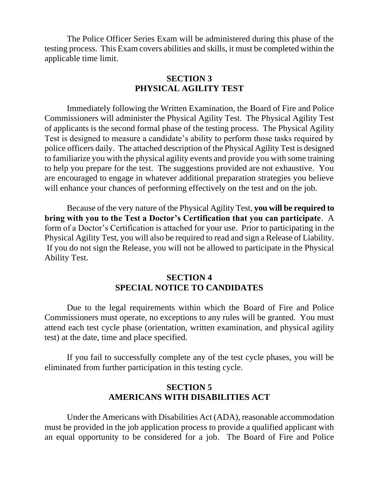The Police Officer Series Exam will be administered during this phase of the testing process. This Exam covers abilities and skills, it must be completed within the applicable time limit.

## **SECTION 3 PHYSICAL AGILITY TEST**

Immediately following the Written Examination, the Board of Fire and Police Commissioners will administer the Physical Agility Test. The Physical Agility Test of applicants is the second formal phase of the testing process. The Physical Agility Test is designed to measure a candidate's ability to perform those tasks required by police officers daily. The attached description of the Physical Agility Test is designed to familiarize you with the physical agility events and provide you with some training to help you prepare for the test. The suggestions provided are not exhaustive. You are encouraged to engage in whatever additional preparation strategies you believe will enhance your chances of performing effectively on the test and on the job.

Because of the very nature of the Physical Agility Test, **you will be required to bring with you to the Test a Doctor's Certification that you can participate**. A form of a Doctor's Certification is attached for your use. Prior to participating in the Physical Agility Test, you will also be required to read and sign a Release of Liability. If you do not sign the Release, you will not be allowed to participate in the Physical Ability Test.

## **SECTION 4 SPECIAL NOTICE TO CANDIDATES**

Due to the legal requirements within which the Board of Fire and Police Commissioners must operate, no exceptions to any rules will be granted. You must attend each test cycle phase (orientation, written examination, and physical agility test) at the date, time and place specified.

If you fail to successfully complete any of the test cycle phases, you will be eliminated from further participation in this testing cycle.

## **SECTION 5 AMERICANS WITH DISABILITIES ACT**

Under the Americans with Disabilities Act (ADA), reasonable accommodation must be provided in the job application process to provide a qualified applicant with an equal opportunity to be considered for a job. The Board of Fire and Police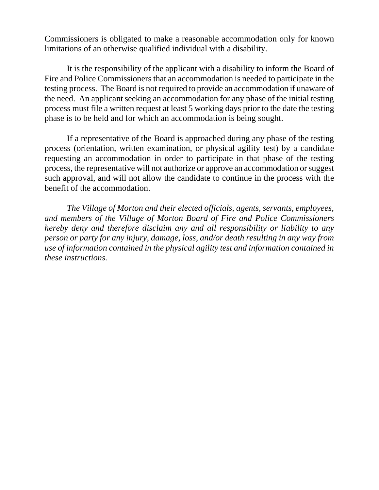Commissioners is obligated to make a reasonable accommodation only for known limitations of an otherwise qualified individual with a disability.

It is the responsibility of the applicant with a disability to inform the Board of Fire and Police Commissioners that an accommodation is needed to participate in the testing process. The Board is not required to provide an accommodation if unaware of the need. An applicant seeking an accommodation for any phase of the initial testing process must file a written request at least 5 working days prior to the date the testing phase is to be held and for which an accommodation is being sought.

If a representative of the Board is approached during any phase of the testing process (orientation, written examination, or physical agility test) by a candidate requesting an accommodation in order to participate in that phase of the testing process, the representative will not authorize or approve an accommodation or suggest such approval, and will not allow the candidate to continue in the process with the benefit of the accommodation.

*The Village of Morton and their elected officials, agents, servants, employees, and members of the Village of Morton Board of Fire and Police Commissioners hereby deny and therefore disclaim any and all responsibility or liability to any person or party for any injury, damage, loss, and/or death resulting in any way from use of information contained in the physical agility test and information contained in these instructions.*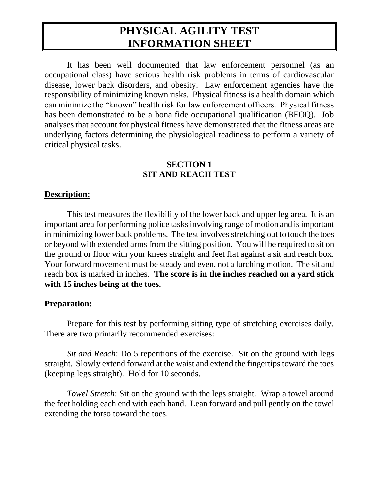## **PHYSICAL AGILITY TEST INFORMATION SHEET**

It has been well documented that law enforcement personnel (as an occupational class) have serious health risk problems in terms of cardiovascular disease, lower back disorders, and obesity. Law enforcement agencies have the responsibility of minimizing known risks. Physical fitness is a health domain which can minimize the "known" health risk for law enforcement officers. Physical fitness has been demonstrated to be a bona fide occupational qualification (BFOQ). Job analyses that account for physical fitness have demonstrated that the fitness areas are underlying factors determining the physiological readiness to perform a variety of critical physical tasks.

## **SECTION 1 SIT AND REACH TEST**

### **Description:**

This test measures the flexibility of the lower back and upper leg area. It is an important area for performing police tasks involving range of motion and is important in minimizing lower back problems. The test involves stretching out to touch the toes or beyond with extended arms from the sitting position. You will be required to sit on the ground or floor with your knees straight and feet flat against a sit and reach box. Your forward movement must be steady and even, not a lurching motion. The sit and reach box is marked in inches. **The score is in the inches reached on a yard stick with 15 inches being at the toes.**

## **Preparation:**

Prepare for this test by performing sitting type of stretching exercises daily. There are two primarily recommended exercises:

*Sit and Reach*: Do 5 repetitions of the exercise. Sit on the ground with legs straight. Slowly extend forward at the waist and extend the fingertips toward the toes (keeping legs straight). Hold for 10 seconds.

*Towel Stretch*: Sit on the ground with the legs straight. Wrap a towel around the feet holding each end with each hand. Lean forward and pull gently on the towel extending the torso toward the toes.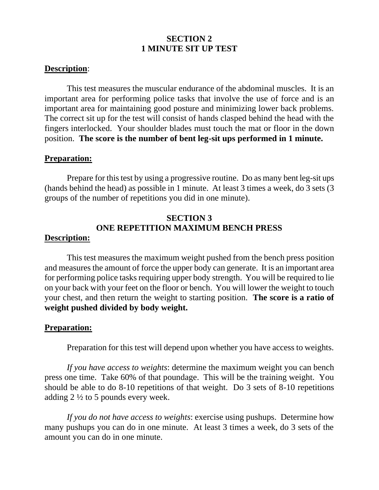## **SECTION 2 1 MINUTE SIT UP TEST**

#### **Description**:

This test measures the muscular endurance of the abdominal muscles. It is an important area for performing police tasks that involve the use of force and is an important area for maintaining good posture and minimizing lower back problems. The correct sit up for the test will consist of hands clasped behind the head with the fingers interlocked. Your shoulder blades must touch the mat or floor in the down position. **The score is the number of bent leg-sit ups performed in 1 minute.**

#### **Preparation:**

Prepare for this test by using a progressive routine. Do as many bent leg-sit ups (hands behind the head) as possible in 1 minute. At least 3 times a week, do 3 sets (3 groups of the number of repetitions you did in one minute).

## **SECTION 3 ONE REPETITION MAXIMUM BENCH PRESS**

#### **Description:**

This test measures the maximum weight pushed from the bench press position and measures the amount of force the upper body can generate. It is an important area for performing police tasks requiring upper body strength. You will be required to lie on your back with your feet on the floor or bench. You will lower the weight to touch your chest, and then return the weight to starting position. **The score is a ratio of weight pushed divided by body weight.**

#### **Preparation:**

Preparation for this test will depend upon whether you have access to weights.

*If you have access to weights*: determine the maximum weight you can bench press one time. Take 60% of that poundage. This will be the training weight. You should be able to do 8-10 repetitions of that weight. Do 3 sets of 8-10 repetitions adding 2 ½ to 5 pounds every week.

*If you do not have access to weights*: exercise using pushups. Determine how many pushups you can do in one minute. At least 3 times a week, do 3 sets of the amount you can do in one minute.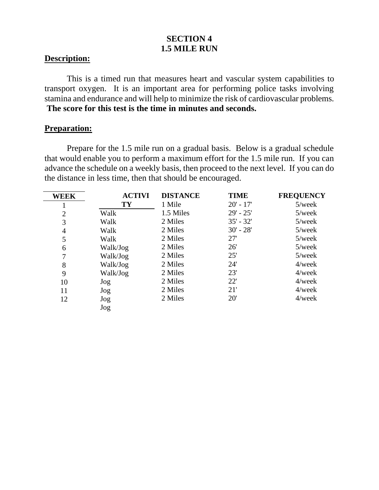## **SECTION 4 1.5 MILE RUN**

### **Description:**

This is a timed run that measures heart and vascular system capabilities to transport oxygen. It is an important area for performing police tasks involving stamina and endurance and will help to minimize the risk of cardiovascular problems. **The score for this test is the time in minutes and seconds.**

### **Preparation:**

Prepare for the 1.5 mile run on a gradual basis. Below is a gradual schedule that would enable you to perform a maximum effort for the 1.5 mile run. If you can advance the schedule on a weekly basis, then proceed to the next level. If you can do the distance in less time, then that should be encouraged.

| <b>WEEK</b>    | <b>ACTIVI</b> | <b>DISTANCE</b> | <b>TIME</b> | <b>FREQUENCY</b> |
|----------------|---------------|-----------------|-------------|------------------|
|                | TY            | 1 Mile          | $20' - 17'$ | $5$ /week        |
| $\overline{2}$ | Walk          | 1.5 Miles       | $29' - 25'$ | $5$ /week        |
| 3              | Walk          | 2 Miles         | $35' - 32'$ | $5$ /week        |
| 4              | Walk          | 2 Miles         | $30' - 28'$ | $5$ /week        |
| 5              | Walk          | 2 Miles         | 27'         | $5$ /week        |
| 6              | Walk/Jog      | 2 Miles         | 26'         | $5$ /week        |
| 7              | Walk/Jog      | 2 Miles         | 25'         | $5$ /week        |
| 8              | Walk/Jog      | 2 Miles         | 24'         | $4$ /week        |
| 9              | Walk/Jog      | 2 Miles         | 23'         | $4$ /week        |
| 10             | Jog           | 2 Miles         | 22'         | $4$ /week        |
| 11             | Jog           | 2 Miles         | 21'         | $4$ /week        |
| 12             | Jog           | 2 Miles         | 20'         | $4$ /week        |
|                | Jog           |                 |             |                  |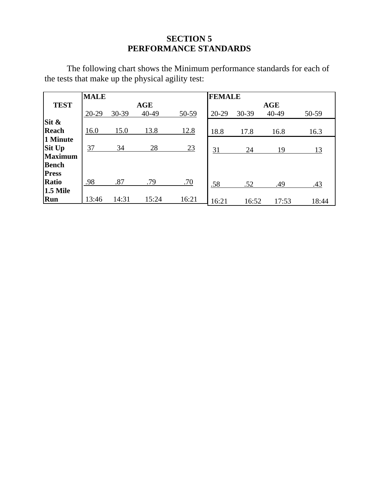## **SECTION 5 PERFORMANCE STANDARDS**

The following chart shows the Minimum performance standards for each of the tests that make up the physical agility test:

|                            | <b>MALE</b> |       | <b>FEMALE</b> |       |       |       |            |       |
|----------------------------|-------------|-------|---------------|-------|-------|-------|------------|-------|
| <b>TEST</b>                |             |       | AGE           |       |       |       | <b>AGE</b> |       |
|                            | 20-29       | 30-39 | 40-49         | 50-59 | 20-29 | 30-39 | 40-49      | 50-59 |
| $\overline{\text{Sit}} \&$ |             |       |               |       |       |       |            |       |
| <b>Reach</b>               | 16.0        | 15.0  | 13.8          | 12.8  | 18.8  | 17.8  | 16.8       | 16.3  |
| 1 Minute                   |             |       |               |       |       |       |            |       |
| <b>Sit Up</b>              | 37          | 34    | 28            | 23    | 31    | 24    | 19         | 13    |
| <b>Maximum</b>             |             |       |               |       |       |       |            |       |
| <b>Bench</b>               |             |       |               |       |       |       |            |       |
| <b>Press</b>               |             |       |               |       |       |       |            |       |
| Ratio                      | .98         | .87   | .79           | .70   | .58   | .52   | .49        | .43   |
| $1.5$ Mile                 |             |       |               |       |       |       |            |       |
| Run                        | 13:46       | 14:31 | 15:24         | 16:21 | 16:21 | 16:52 | 17:53      | 18:44 |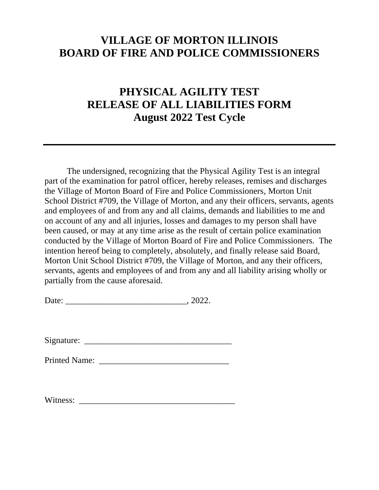## **VILLAGE OF MORTON ILLINOIS BOARD OF FIRE AND POLICE COMMISSIONERS**

## **PHYSICAL AGILITY TEST RELEASE OF ALL LIABILITIES FORM August 2022 Test Cycle**

The undersigned, recognizing that the Physical Agility Test is an integral part of the examination for patrol officer, hereby releases, remises and discharges the Village of Morton Board of Fire and Police Commissioners, Morton Unit School District #709, the Village of Morton, and any their officers, servants, agents and employees of and from any and all claims, demands and liabilities to me and on account of any and all injuries, losses and damages to my person shall have been caused, or may at any time arise as the result of certain police examination conducted by the Village of Morton Board of Fire and Police Commissioners. The intention hereof being to completely, absolutely, and finally release said Board, Morton Unit School District #709, the Village of Morton, and any their officers, servants, agents and employees of and from any and all liability arising wholly or partially from the cause aforesaid.

| Date: | --- |
|-------|-----|
|-------|-----|

Signature: \_\_\_\_\_\_\_\_\_\_\_\_\_\_\_\_\_\_\_\_\_\_\_\_\_\_\_\_\_\_\_\_\_\_

Printed Name: \_\_\_\_\_\_\_\_\_\_\_\_\_\_\_\_\_\_\_\_\_\_\_\_\_\_\_\_\_\_

Witness: \_\_\_\_\_\_\_\_\_\_\_\_\_\_\_\_\_\_\_\_\_\_\_\_\_\_\_\_\_\_\_\_\_\_\_\_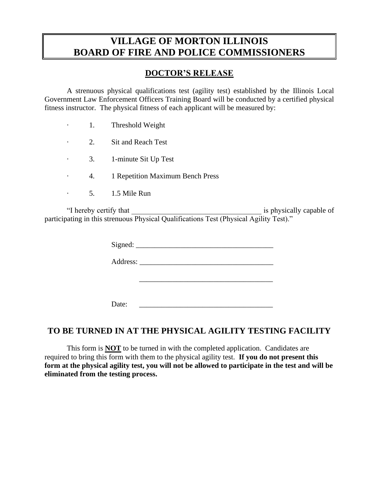## **VILLAGE OF MORTON ILLINOIS BOARD OF FIRE AND POLICE COMMISSIONERS**

## **DOCTOR'S RELEASE**

A strenuous physical qualifications test (agility test) established by the Illinois Local Government Law Enforcement Officers Training Board will be conducted by a certified physical fitness instructor. The physical fitness of each applicant will be measured by:

- · 1. Threshold Weight
- · 2. Sit and Reach Test
- · 3. 1-minute Sit Up Test
- · 4. 1 Repetition Maximum Bench Press
- · 5. 1.5 Mile Run

"I hereby certify that is physically capable of participating in this strenuous Physical Qualifications Test (Physical Agility Test)."

| Date: |  |
|-------|--|

## **TO BE TURNED IN AT THE PHYSICAL AGILITY TESTING FACILITY**

This form is **NOT** to be turned in with the completed application. Candidates are required to bring this form with them to the physical agility test. **If you do not present this form at the physical agility test, you will not be allowed to participate in the test and will be eliminated from the testing process.**